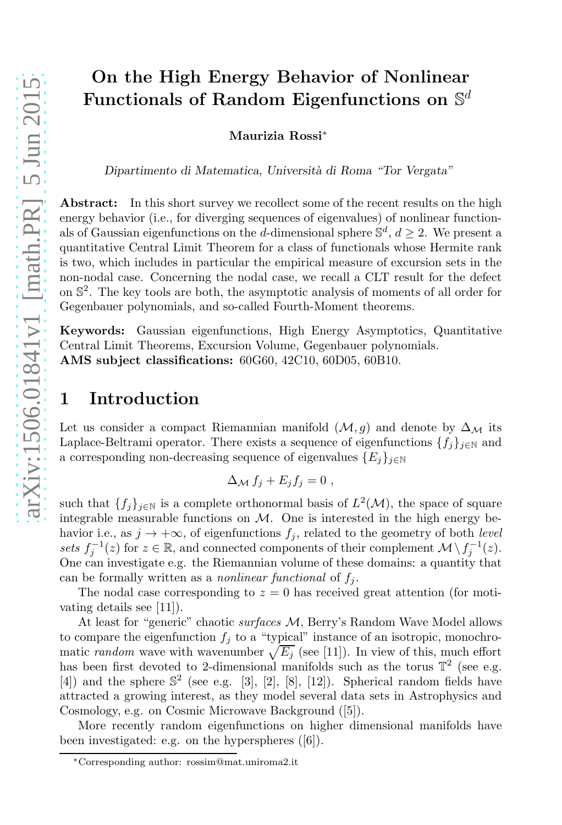# On the High Energy Behavior of Nonlinear Functionals of Random Eigenfunctions on  $\mathbb{S}^d$

Maurizia Rossi[∗](#page-0-0)

Dipartimento di Matematica, Università di Roma "Tor Vergata"

Abstract: In this short survey we recollect some of the recent results on the high energy behavior (i.e., for diverging sequences of eigenvalues) of nonlinear functionals of Gaussian eigenfunctions on the *d*-dimensional sphere  $\mathbb{S}^d$ ,  $d \geq 2$ . We present a quantitative Central Limit Theorem for a class of functionals whose Hermite rank is two, which includes in particular the empirical measure of excursion sets in the non-nodal case. Concerning the nodal case, we recall a CLT result for the defect on S 2 . The key tools are both, the asymptotic analysis of moments of all order for Gegenbauer polynomials, and so-called Fourth-Moment theorems.

Keywords: Gaussian eigenfunctions, High Energy Asymptotics, Quantitative Central Limit Theorems, Excursion Volume, Gegenbauer polynomials. AMS subject classifications: 60G60, 42C10, 60D05, 60B10.

### 1 Introduction

Let us consider a compact Riemannian manifold  $(\mathcal{M}, g)$  and denote by  $\Delta_{\mathcal{M}}$  its Laplace-Beltrami operator. There exists a sequence of eigenfunctions  $\{f_j\}_{j\in\mathbb{N}}$  and a corresponding non-decreasing sequence of eigenvalues  ${E_j}_{j \in \mathbb{N}}$ 

$$
\Delta_{\mathcal{M}} f_j + E_j f_j = 0 ,
$$

such that  $\{f_j\}_{j\in\mathbb{N}}$  is a complete orthonormal basis of  $L^2(\mathcal{M})$ , the space of square integrable measurable functions on  $M$ . One is interested in the high energy behavior i.e., as  $j \to +\infty$ , of eigenfunctions  $f_j$ , related to the geometry of both *level sets*  $f_j^{-1}(z)$  for  $z \in \mathbb{R}$ , and connected components of their complement  $\mathcal{M} \setminus f_j^{-1}(z)$ . One can investigate e.g. the Riemannian volume of these domains: a quantity that can be formally written as a *nonlinear functional* of  $f_i$ .

The nodal case corresponding to  $z = 0$  has received great attention (for motivating details see [\[11\]](#page-5-0)).

At least for "generic" chaotic *surfaces* M, Berry's Random Wave Model allows to compare the eigenfunction  $f_j$  to a "typical" instance of an isotropic, monochromatic *random* wave with wavenumber  $\sqrt{E_j}$  (see [\[11\]](#page-5-0)). In view of this, much effort has been first devoted to 2-dimensional manifolds such as the torus  $\mathbb{T}^2$  (see e.g.  $[4]$ ) and the sphere  $\mathbb{S}^2$  (see e.g. [\[3\]](#page-5-2), [\[2\]](#page-5-3), [\[8\]](#page-5-4), [\[12\]](#page-5-5)). Spherical random fields have attracted a growing interest, as they model several data sets in Astrophysics and Cosmology, e.g. on Cosmic Microwave Background ([\[5\]](#page-5-6)).

More recently random eigenfunctions on higher dimensional manifolds have been investigated: e.g. on the hyperspheres ([\[6\]](#page-5-7)).

<span id="page-0-0"></span><sup>∗</sup>Corresponding author: rossim@mat.uniroma2.it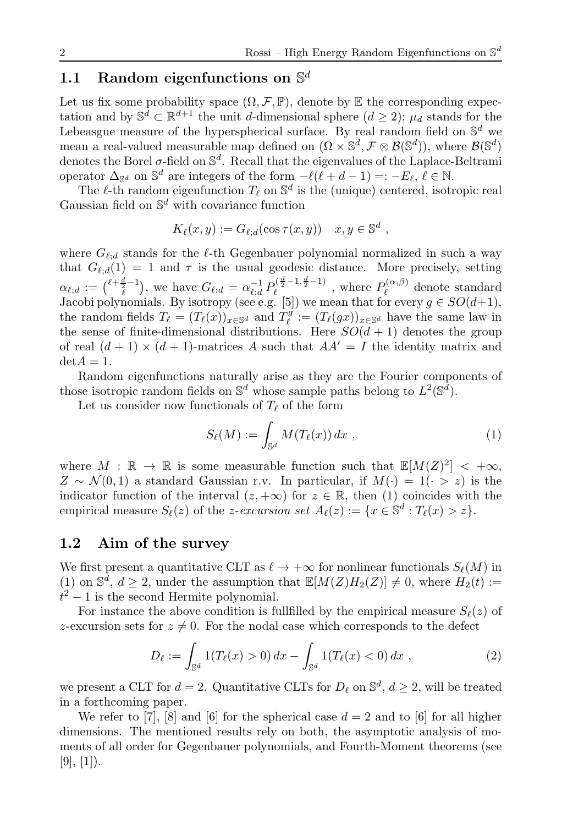### <span id="page-1-1"></span>1.1 Random eigenfunctions on  $\mathbb{S}^d$

Let us fix some probability space  $(\Omega, \mathcal{F}, \mathbb{P})$ , denote by  $\mathbb E$  the corresponding expectation and by  $\mathbb{S}^d \subset \mathbb{R}^{d+1}$  the unit d-dimensional sphere  $(d \geq 2)$ ;  $\mu_d$  stands for the Lebeasgue measure of the hyperspherical surface. By real random field on  $\mathbb{S}^d$  we mean a real-valued measurable map defined on  $(\Omega \times \mathbb{S}^d, \mathcal{F} \otimes \mathcal{B}(\mathbb{S}^d))$ , where  $\mathcal{B}(\mathbb{S}^d)$ denotes the Borel  $\sigma$ -field on  $\mathbb{S}^d$ . Recall that the eigenvalues of the Laplace-Beltrami operator  $\Delta_{\mathbb{S}^d}$  on  $\mathbb{S}^d$  are integers of the form  $-\ell(\ell+d-1)=:-E_{\ell}, \ell \in \mathbb{N}$ .

The  $\ell$ -th random eigenfunction  $T_{\ell}$  on  $\mathbb{S}^d$  is the (unique) centered, isotropic real Gaussian field on  $\mathbb{S}^d$  with covariance function

$$
K_{\ell}(x, y) := G_{\ell; d}(\cos \tau(x, y)) \quad x, y \in \mathbb{S}^d ,
$$

where  $G_{\ell;d}$  stands for the  $\ell$ -th Gegenbauer polynomial normalized in such a way that  $G_{\ell,d}(1) = 1$  and  $\tau$  is the usual geodesic distance. More precisely, setting  $\alpha_{\ell,d} := {\ell + \frac{d}{\ell} - 1 \choose \ell}$ , we have  $G_{\ell;d} = \alpha_{\ell;d}^{-1} P_{\ell}^{{(\frac{d}{2}-1,\frac{d}{2}-1)}}$ , where  $P_{\ell}^{(\alpha,\beta)}$  $\ell^{(\alpha,\beta)}$  denote standard Jacobi polynomials. By isotropy (see e.g. [\[5\]](#page-5-6)) we mean that for every  $g \in SO(d+1)$ , the random fields  $T_{\ell} = (T_{\ell}(x))_{x \in \mathbb{S}^d}$  and  $T_{\ell}^g := (T_{\ell}(gx))_{x \in \mathbb{S}^d}$  have the same law in the sense of finite-dimensional distributions. Here  $SO(d+1)$  denotes the group of real  $(d+1) \times (d+1)$ -matrices A such that  $AA' = I$  the identity matrix and  $\det A = 1.$ 

Random eigenfunctions naturally arise as they are the Fourier components of those isotropic random fields on  $\mathbb{S}^d$  whose sample paths belong to  $L^2(\mathbb{S}^d)$ .

Let us consider now functionals of  $T_{\ell}$  of the form

<span id="page-1-0"></span>
$$
S_{\ell}(M) := \int_{\mathbb{S}^d} M(T_{\ell}(x)) dx , \qquad (1)
$$

where  $M : \mathbb{R} \to \mathbb{R}$  is some measurable function such that  $\mathbb{E}[M(Z)^2] < +\infty$ ,  $Z \sim \mathcal{N}(0, 1)$  a standard Gaussian r.v. In particular, if  $M(\cdot) = 1$  ( $\cdot > z$ ) is the indicator function of the interval  $(z, +\infty)$  for  $z \in \mathbb{R}$ , then [\(1\)](#page-1-0) coincides with the empirical measure  $S_{\ell}(z)$  of the *z*-*excursion set*  $A_{\ell}(z) := \{x \in \mathbb{S}^d : T_{\ell}(x) > z\}.$ 

#### 1.2 Aim of the survey

We first present a quantitative CLT as  $\ell \to +\infty$  for nonlinear functionals  $S_{\ell}(M)$  in [\(1\)](#page-1-0) on  $\mathbb{S}^d$ ,  $d \geq 2$ , under the assumption that  $\mathbb{E}[M(Z)H_2(Z)] \neq 0$ , where  $H_2(t) :=$  $t^2 - 1$  is the second Hermite polynomial.

For instance the above condition is fullfilled by the empirical measure  $S_{\ell}(z)$  of z-excursion sets for  $z \neq 0$ . For the nodal case which corresponds to the defect

<span id="page-1-2"></span>
$$
D_{\ell} := \int_{\mathbb{S}^d} 1(T_{\ell}(x) > 0) dx - \int_{\mathbb{S}^d} 1(T_{\ell}(x) < 0) dx , \qquad (2)
$$

we present a CLT for  $d = 2$ . Quantitative CLTs for  $D_{\ell}$  on  $\mathbb{S}^{d}$ ,  $d \geq 2$ , will be treated in a forthcoming paper.

We refer to [\[7\]](#page-5-8), [\[8\]](#page-5-4) and [\[6\]](#page-5-7) for the spherical case  $d = 2$  and to [6] for all higher dimensions. The mentioned results rely on both, the asymptotic analysis of moments of all order for Gegenbauer polynomials, and Fourth-Moment theorems (see  $[9], [1]$  $[9], [1]$  $[9], [1]$ .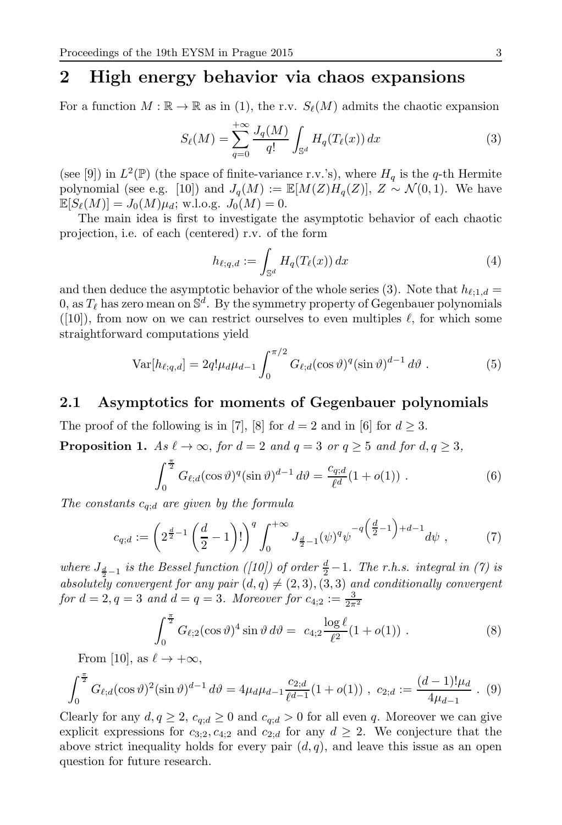## 2 High energy behavior via chaos expansions

For a function  $M : \mathbb{R} \to \mathbb{R}$  as in [\(1\)](#page-1-0), the r.v.  $S_{\ell}(M)$  admits the chaotic expansion

<span id="page-2-0"></span>
$$
S_{\ell}(M) = \sum_{q=0}^{+\infty} \frac{J_q(M)}{q!} \int_{\mathbb{S}^d} H_q(T_{\ell}(x)) \, dx \tag{3}
$$

(see [\[9\]](#page-5-9)) in  $L^2(\mathbb{P})$  (the space of finite-variance r.v.'s), where  $H_q$  is the q-th Hermite polynomial (see e.g. [\[10\]](#page-5-11)) and  $J_q(M) := \mathbb{E}[M(Z)H_q(Z)], Z \sim \mathcal{N}(0, 1)$ . We have  $\mathbb{E}[S_{\ell}(M)] = J_0(M)\mu_d$ ; w.l.o.g.  $J_0(M) = 0$ .

The main idea is first to investigate the asymptotic behavior of each chaotic projection, i.e. of each (centered) r.v. of the form

<span id="page-2-2"></span>
$$
h_{\ell;q,d} := \int_{\mathbb{S}^d} H_q(T_{\ell}(x)) \, dx \tag{4}
$$

and then deduce the asymptotic behavior of the whole series [\(3\)](#page-2-0). Note that  $h_{\ell;1,d} =$ 0, as  $T_{\ell}$  has zero mean on  $\mathbb{S}^{d}$ . By the symmetry property of Gegenbauer polynomials  $([10])$  $([10])$  $([10])$ , from now on we can restrict ourselves to even multiples  $\ell$ , for which some straightforward computations yield

$$
Var[h_{\ell;q,d}] = 2q!\mu_d\mu_{d-1} \int_0^{\pi/2} G_{\ell;d}(\cos\vartheta)^q (\sin\vartheta)^{d-1} d\vartheta . \tag{5}
$$

#### 2.1 Asymptotics for moments of Gegenbauer polynomials

<span id="page-2-3"></span>The proof of the following is in [\[7\]](#page-5-8), [\[8\]](#page-5-4) for  $d = 2$  and in [\[6\]](#page-5-7) for  $d \geq 3$ . **Proposition 1.** *As*  $\ell \to \infty$ *, for*  $d = 2$  *and*  $q = 3$  *or*  $q \ge 5$  *and for*  $d, q \ge 3$ *,* 

$$
\int_0^{\frac{\pi}{2}} G_{\ell;d}(\cos \vartheta)^q (\sin \vartheta)^{d-1} d\vartheta = \frac{c_{q;d}}{\ell^d} (1 + o(1)) . \tag{6}
$$

*The constants* cq;<sup>d</sup> *are given by the formula*

<span id="page-2-1"></span>
$$
c_{q;d} := \left(2^{\frac{d}{2}-1} \left(\frac{d}{2}-1\right)!\right)^q \int_0^{+\infty} J_{\frac{d}{2}-1}(\psi)^q \psi^{-q\left(\frac{d}{2}-1\right)+d-1} d\psi \right),\tag{7}
$$

*where*  $J_{\frac{d}{2}-1}$  *is the Bessel function* (*[\[10\]](#page-5-11)) of order*  $\frac{d}{2}-1$ *. The r.h.s. integral in* [\(7\)](#page-2-1) *is absolutely convergent for any pair*  $(d, q) \neq (2, 3), (3, 3)$  *and conditionally convergent for*  $d = 2, q = 3$  *and*  $d = q = 3$ *. Moreover for*  $c_{4,2} := \frac{3}{2\pi^2}$ 

$$
\int_0^{\frac{\pi}{2}} G_{\ell;2}(\cos \vartheta)^4 \sin \vartheta \, d\vartheta = c_{4;2} \frac{\log \ell}{\ell^2} (1 + o(1)) \; . \tag{8}
$$

From [\[10\]](#page-5-11), as  $\ell \to +\infty$ ,

$$
\int_0^{\frac{\pi}{2}} G_{\ell,d}(\cos \vartheta)^2 (\sin \vartheta)^{d-1} d\vartheta = 4\mu_d \mu_{d-1} \frac{c_{2;d}}{\ell^{d-1}} (1 + o(1)), \ c_{2;d} := \frac{(d-1)! \mu_d}{4\mu_{d-1}} \ . \ (9)
$$

Clearly for any  $d, q \geq 2$ ,  $c_{q,d} \geq 0$  and  $c_{q,d} > 0$  for all even q. Moreover we can give explicit expressions for  $c_{3;2}, c_{4;2}$  and  $c_{2;d}$  for any  $d \geq 2$ . We conjecture that the above strict inequality holds for every pair  $(d, q)$ , and leave this issue as an open question for future research.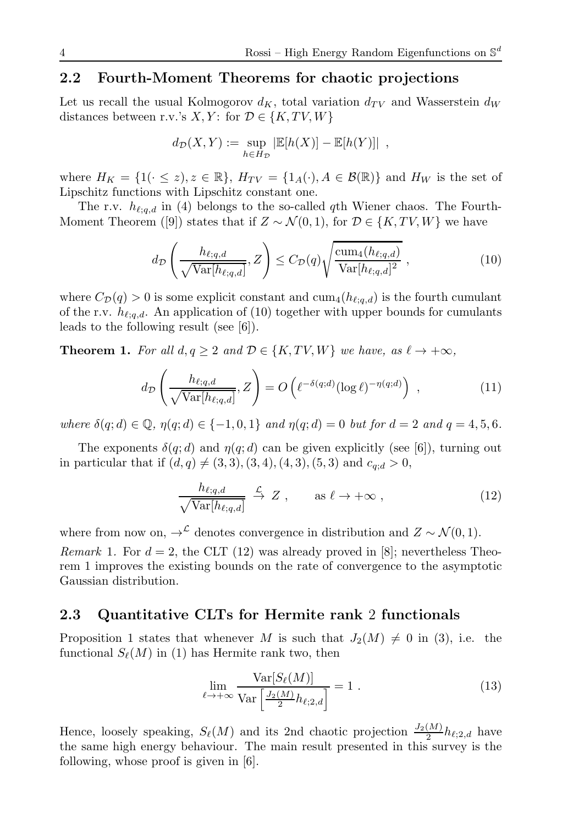### 2.2 Fourth-Moment Theorems for chaotic projections

Let us recall the usual Kolmogorov  $d_K$ , total variation  $d_{TV}$  and Wasserstein  $d_W$ distances between r.v.'s X, Y: for  $\mathcal{D} \in \{K, TV, W\}$ 

$$
d_{\mathcal{D}}(X,Y) := \sup_{h \in H_{\mathcal{D}}} |\mathbb{E}[h(X)] - \mathbb{E}[h(Y)]|,
$$

where  $H_K = \{1(\cdot \leq z), z \in \mathbb{R}\}, H_{TV} = \{1_A(\cdot), A \in \mathcal{B}(\mathbb{R})\}$  and  $H_W$  is the set of Lipschitz functions with Lipschitz constant one.

The r.v.  $h_{\ell;q,d}$  in [\(4\)](#page-2-2) belongs to the so-called qth Wiener chaos. The Fourth-Moment Theorem ([\[9\]](#page-5-9)) states that if  $Z \sim \mathcal{N}(0, 1)$ , for  $\mathcal{D} \in \{K, TV, W\}$  we have

<span id="page-3-0"></span>
$$
d_{\mathcal{D}}\left(\frac{h_{\ell;q,d}}{\sqrt{\text{Var}[h_{\ell;q,d}]}},Z\right) \leq C_{\mathcal{D}}(q)\sqrt{\frac{\text{cum}_4(h_{\ell;q,d})}{\text{Var}[h_{\ell;q,d}]^2}}\,,\tag{10}
$$

where  $C_{\mathcal{D}}(q) > 0$  is some explicit constant and  $cum_4(h_{\ell;q,d})$  is the fourth cumulant of the r.v.  $h_{\ell;q,d}$ . An application of [\(10\)](#page-3-0) together with upper bounds for cumulants leads to the following result (see [\[6\]](#page-5-7)).

<span id="page-3-2"></span>**Theorem 1.** For all  $d, q \geq 2$  and  $\mathcal{D} \in \{K, TV, W\}$  we have, as  $\ell \to +\infty$ ,

$$
d_{\mathcal{D}}\left(\frac{h_{\ell;q,d}}{\sqrt{\text{Var}[h_{\ell;q,d}]}},Z\right) = O\left(\ell^{-\delta(q;d)}(\log \ell)^{-\eta(q;d)}\right) ,\qquad (11)
$$

*where*  $\delta(q; d) \in \mathbb{Q}$ ,  $\eta(q; d) \in \{-1, 0, 1\}$  *and*  $\eta(q; d) = 0$  *but for*  $d = 2$  *and*  $q = 4, 5, 6$ *.* 

The exponents  $\delta(q; d)$  and  $\eta(q; d)$  can be given explicitly (see [\[6\]](#page-5-7)), turning out in particular that if  $(d, q) \neq (3, 3), (3, 4), (4, 3), (5, 3)$  and  $c_{q,d} > 0$ ,

<span id="page-3-1"></span>
$$
\frac{h_{\ell;q,d}}{\sqrt{\text{Var}[h_{\ell;q,d}]}} \stackrel{\mathcal{L}}{\to} Z \;, \qquad \text{as } \ell \to +\infty \;, \tag{12}
$$

where from now on,  $\rightarrow^{\mathcal{L}}$  denotes convergence in distribution and  $Z \sim \mathcal{N}(0, 1)$ . *Remark* 1. For  $d = 2$ , the CLT [\(12\)](#page-3-1) was already proved in [\[8\]](#page-5-4); nevertheless Theorem [1](#page-3-2) improves the existing bounds on the rate of convergence to the asymptotic Gaussian distribution.

### 2.3 Quantitative CLTs for Hermite rank 2 functionals

Proposition [1](#page-2-3) states that whenever M is such that  $J_2(M) \neq 0$  in [\(3\)](#page-2-0), i.e. the functional  $S_{\ell}(M)$  in [\(1\)](#page-1-0) has Hermite rank two, then

$$
\lim_{\ell \to +\infty} \frac{\text{Var}[S_{\ell}(M)]}{\text{Var}\left[\frac{J_2(M)}{2}h_{\ell;2,d}\right]} = 1.
$$
\n(13)

Hence, loosely speaking,  $S_{\ell}(M)$  and its 2nd chaotic projection  $\frac{J_2(M)}{2}h_{\ell;2,d}$  have the same high energy behaviour. The main result presented in this survey is the following, whose proof is given in [\[6\]](#page-5-7).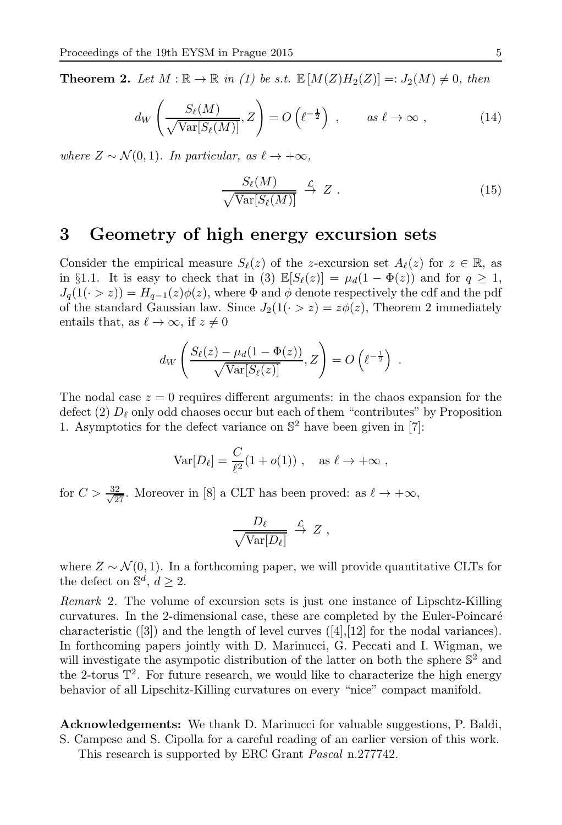<span id="page-4-0"></span>**Theorem 2.** Let  $M : \mathbb{R} \to \mathbb{R}$  in [\(1\)](#page-1-0) be s.t.  $\mathbb{E}[M(Z)H_2(Z)] =: J_2(M) \neq 0$ , then

$$
d_W\left(\frac{S_{\ell}(M)}{\sqrt{\text{Var}[S_{\ell}(M)]}}, Z\right) = O\left(\ell^{-\frac{1}{2}}\right) , \qquad \text{as } \ell \to \infty ,
$$
 (14)

*where*  $Z \sim \mathcal{N}(0, 1)$ *. In particular, as*  $\ell \to +\infty$ *,* 

$$
\frac{S_{\ell}(M)}{\sqrt{\text{Var}[S_{\ell}(M)]}} \xrightarrow{\mathcal{L}} Z . \tag{15}
$$

## 3 Geometry of high energy excursion sets

Consider the empirical measure  $S_{\ell}(z)$  of the z-excursion set  $A_{\ell}(z)$  for  $z \in \mathbb{R}$ , as in §[1.1.](#page-1-1) It is easy to check that in [\(3\)](#page-2-0)  $\mathbb{E}[S_{\ell}(z)] = \mu_d(1 - \Phi(z))$  and for  $q \geq 1$ ,  $J_q(1(\cdot > z)) = H_{q-1}(z)\phi(z)$ , where  $\Phi$  and  $\phi$  denote respectively the cdf and the pdf of the standard Gaussian law. Since  $J_2(1(\cdot > z) = z\phi(z)$ , Theorem [2](#page-4-0) immediately entails that, as  $\ell \to \infty$ , if  $z \neq 0$ 

$$
d_W\left(\frac{S_{\ell}(z) - \mu_d(1 - \Phi(z))}{\sqrt{\text{Var}[S_{\ell}(z)]}}, Z\right) = O\left(\ell^{-\frac{1}{2}}\right) .
$$

The nodal case  $z = 0$  requires different arguments: in the chaos expansion for the defect [\(2\)](#page-1-2)  $D_{\ell}$  only odd chaoses occur but each of them "contributes" by Proposition [1.](#page-2-3) Asymptotics for the defect variance on  $\mathbb{S}^2$  have been given in [\[7\]](#page-5-8):

$$
Var[D_{\ell}] = \frac{C}{\ell^2} (1 + o(1)), \text{ as } \ell \to +\infty ,
$$

for  $C > \frac{32}{\sqrt{27}}$ . Moreover in [\[8\]](#page-5-4) a CLT has been proved: as  $\ell \to +\infty$ ,

$$
\frac{D_{\ell}}{\sqrt{\text{Var}[D_{\ell}]}} \stackrel{\mathcal{L}}{\rightarrow} Z ,
$$

where  $Z \sim \mathcal{N}(0, 1)$ . In a forthcoming paper, we will provide quantitative CLTs for the defect on  $\mathbb{S}^d$ ,  $d \geq 2$ .

*Remark* 2*.* The volume of excursion sets is just one instance of Lipschtz-Killing curvatures. In the 2-dimensional case, these are completed by the Euler-Poincar´e characteristic  $([3])$  $([3])$  $([3])$  and the length of level curves  $([4],[12]$  $([4],[12]$  $([4],[12]$  $([4],[12]$  for the nodal variances). In forthcoming papers jointly with D. Marinucci, G. Peccati and I. Wigman, we will investigate the asympotic distribution of the latter on both the sphere  $\mathbb{S}^2$  and the 2-torus  $\mathbb{T}^2$ . For future research, we would like to characterize the high energy behavior of all Lipschitz-Killing curvatures on every "nice" compact manifold.

Acknowledgements: We thank D. Marinucci for valuable suggestions, P. Baldi, S. Campese and S. Cipolla for a careful reading of an earlier version of this work. This research is supported by ERC Grant *Pascal* n.277742.